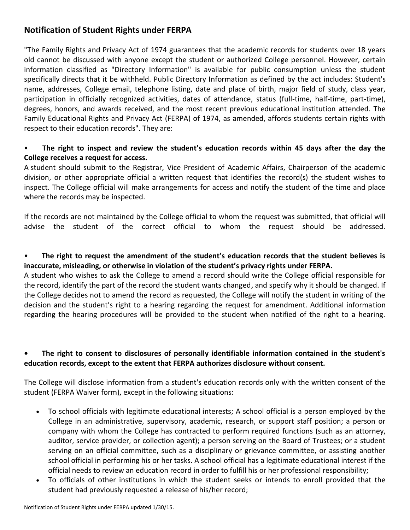# **Notification of Student Rights under FERPA**

"The Family Rights and Privacy Act of 1974 guarantees that the academic records for students over 18 years old cannot be discussed with anyone except the student or authorized College personnel. However, certain information classified as "Directory Information" is available for public consumption unless the student specifically directs that it be withheld. Public Directory Information as defined by the act includes: Student's name, addresses, College email, telephone listing, date and place of birth, major field of study, class year, participation in officially recognized activities, dates of attendance, status (full-time, half-time, part-time), degrees, honors, and awards received, and the most recent previous educational institution attended. The Family Educational Rights and Privacy Act (FERPA) of 1974, as amended, affords students certain rights with respect to their education records". They are:

#### • **The right to inspect and review the student's education records within 45 days after the day the College receives a request for access.**

A student should submit to the Registrar, Vice President of Academic Affairs, Chairperson of the academic division, or other appropriate official a written request that identifies the record(s) the student wishes to inspect. The College official will make arrangements for access and notify the student of the time and place where the records may be inspected.

If the records are not maintained by the College official to whom the request was submitted, that official will advise the student of the correct official to whom the request should be addressed.

#### • **The right to request the amendment of the student's education records that the student believes is inaccurate, misleading, or otherwise in violation of the student's privacy rights under FERPA.**

A student who wishes to ask the College to amend a record should write the College official responsible for the record, identify the part of the record the student wants changed, and specify why it should be changed. If the College decides not to amend the record as requested, the College will notify the student in writing of the decision and the student's right to a hearing regarding the request for amendment. Additional information regarding the hearing procedures will be provided to the student when notified of the right to a hearing.

### **• The right to consent to disclosures of personally identifiable information contained in the student's education records, except to the extent that FERPA authorizes disclosure without consent.**

The College will disclose information from a student's education records only with the written consent of the student (FERPA Waiver form), except in the following situations:

- To school officials with legitimate educational interests; A school official is a person employed by the College in an administrative, supervisory, academic, research, or support staff position; a person or company with whom the College has contracted to perform required functions (such as an attorney, auditor, service provider, or collection agent); a person serving on the Board of Trustees; or a student serving on an official committee, such as a disciplinary or grievance committee, or assisting another school official in performing his or her tasks. A school official has a legitimate educational interest if the official needs to review an education record in order to fulfill his or her professional responsibility;
- To officials of other institutions in which the student seeks or intends to enroll provided that the student had previously requested a release of his/her record;